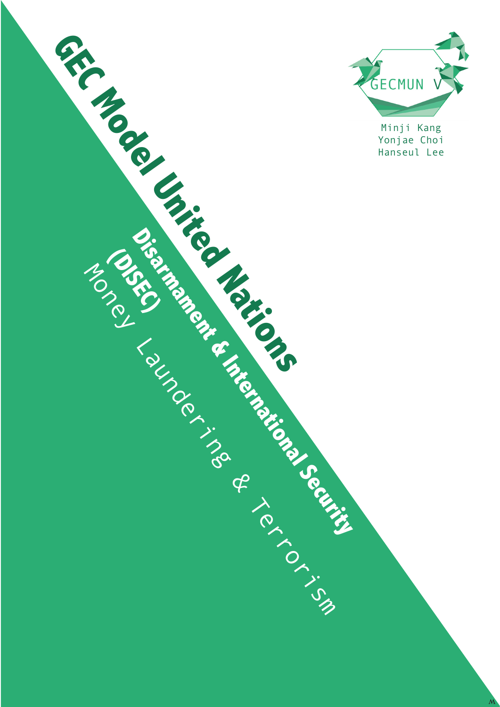

Yonjae Choi

**Disaming Branch & International Security International Security According Security International Security International Security International Security International Security International Security International Security** 

Money Laundering & Terrorism

**(DISEG)**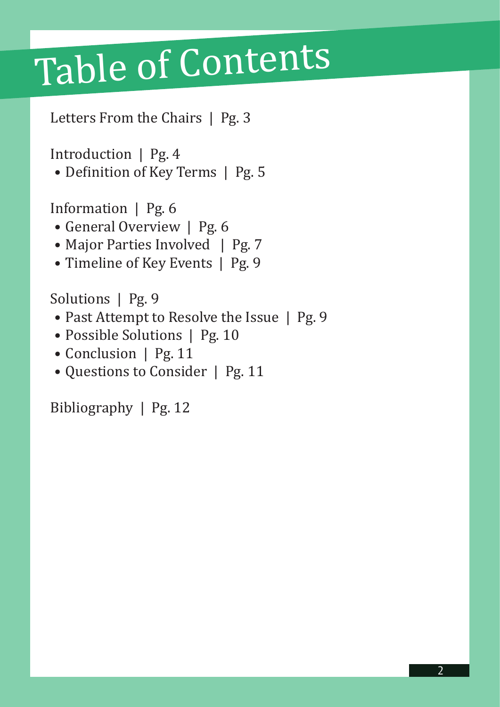## Table of Contents

Letters From the Chairs | Pg. 3

Introduction | Pg. 4

• Definition of Key Terms | Pg. 5

Information | Pg. 6

- General Overview | Pg. 6
- Major Parties Involved | Pg. 7
- Timeline of Key Events | Pg. 9

Solutions | Pg. 9

- Past Attempt to Resolve the Issue | Pg. 9
- Possible Solutions | Pg. 10
- Conclusion | Pg. 11
- Questions to Consider | Pg. 11

Bibliography | Pg. 12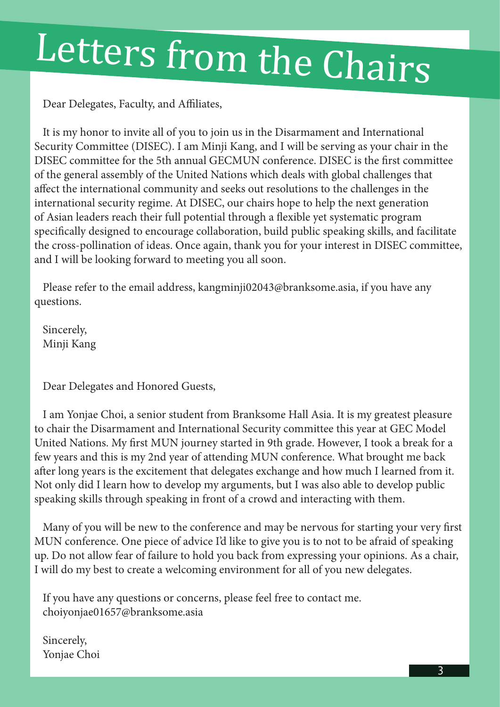# Letters from the Chairs

Dear Delegates, Faculty, and Affiliates,

It is my honor to invite all of you to join us in the Disarmament and International Security Committee (DISEC). I am Minji Kang, and I will be serving as your chair in the DISEC committee for the 5th annual GECMUN conference. DISEC is the first committee of the general assembly of the United Nations which deals with global challenges that affect the international community and seeks out resolutions to the challenges in the international security regime. At DISEC, our chairs hope to help the next generation of Asian leaders reach their full potential through a flexible yet systematic program specifically designed to encourage collaboration, build public speaking skills, and facilitate the cross-pollination of ideas. Once again, thank you for your interest in DISEC committee, and I will be looking forward to meeting you all soon.

Please refer to the email address, kangminji02043@branksome.asia, if you have any questions.

Sincerely, Minji Kang

Dear Delegates and Honored Guests,

I am Yonjae Choi, a senior student from Branksome Hall Asia. It is my greatest pleasure to chair the Disarmament and International Security committee this year at GEC Model United Nations. My first MUN journey started in 9th grade. However, I took a break for a few years and this is my 2nd year of attending MUN conference. What brought me back after long years is the excitement that delegates exchange and how much I learned from it. Not only did I learn how to develop my arguments, but I was also able to develop public speaking skills through speaking in front of a crowd and interacting with them.

Many of you will be new to the conference and may be nervous for starting your very first MUN conference. One piece of advice I'd like to give you is to not to be afraid of speaking up. Do not allow fear of failure to hold you back from expressing your opinions. As a chair, I will do my best to create a welcoming environment for all of you new delegates.

If you have any questions or concerns, please feel free to contact me. choiyonjae01657@branksome.asia

Sincerely, Yonjae Choi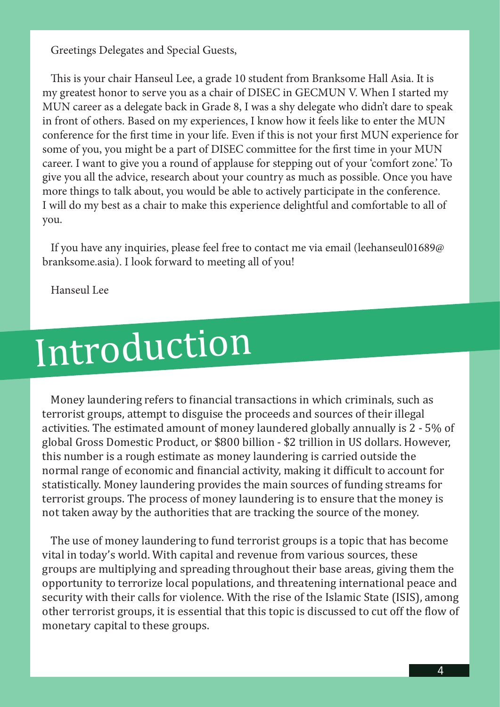Greetings Delegates and Special Guests,

This is your chair Hanseul Lee, a grade 10 student from Branksome Hall Asia. It is my greatest honor to serve you as a chair of DISEC in GECMUN V. When I started my MUN career as a delegate back in Grade 8, I was a shy delegate who didn't dare to speak in front of others. Based on my experiences, I know how it feels like to enter the MUN conference for the first time in your life. Even if this is not your first MUN experience for some of you, you might be a part of DISEC committee for the first time in your MUN career. I want to give you a round of applause for stepping out of your 'comfort zone.' To give you all the advice, research about your country as much as possible. Once you have more things to talk about, you would be able to actively participate in the conference. I will do my best as a chair to make this experience delightful and comfortable to all of you.

If you have any inquiries, please feel free to contact me via email (leehanseul01689@ branksome.asia). I look forward to meeting all of you!

Hanseul Lee

## Introduction

Money laundering refers to financial transactions in which criminals, such as terrorist groups, attempt to disguise the proceeds and sources of their illegal activities. The estimated amount of money laundered globally annually is 2 - 5% of global Gross Domestic Product, or \$800 billion - \$2 trillion in US dollars. However, this number is a rough estimate as money laundering is carried outside the normal range of economic and financial activity, making it difficult to account for statistically. Money laundering provides the main sources of funding streams for terrorist groups. The process of money laundering is to ensure that the money is not taken away by the authorities that are tracking the source of the money.

The use of money laundering to fund terrorist groups is a topic that has become vital in today's world. With capital and revenue from various sources, these groups are multiplying and spreading throughout their base areas, giving them the opportunity to terrorize local populations, and threatening international peace and security with their calls for violence. With the rise of the Islamic State (ISIS), among other terrorist groups, it is essential that this topic is discussed to cut off the flow of monetary capital to these groups.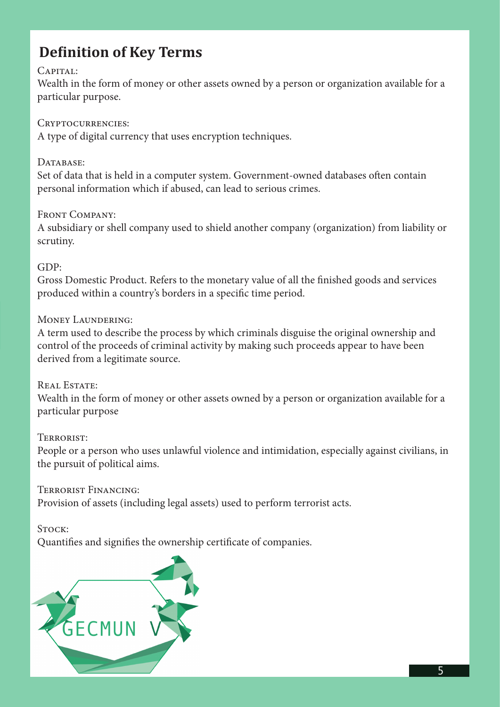## **Definition of Key Terms**

#### CAPITAL:

Wealth in the form of money or other assets owned by a person or organization available for a particular purpose.

#### Cryptocurrencies:

A type of digital currency that uses encryption techniques.

### DATABASE:

Set of data that is held in a computer system. Government-owned databases often contain personal information which if abused, can lead to serious crimes.

### FRONT COMPANY:

A subsidiary or shell company used to shield another company (organization) from liability or scrutiny.

#### GDP:

Gross Domestic Product. Refers to the monetary value of all the finished goods and services produced within a country's borders in a specific time period.

### Money Laundering:

A term used to describe the process by which criminals disguise the original ownership and control of the proceeds of criminal activity by making such proceeds appear to have been derived from a legitimate source.

### REAL ESTATE:

Wealth in the form of money or other assets owned by a person or organization available for a particular purpose

### Terrorist:

People or a person who uses unlawful violence and intimidation, especially against civilians, in the pursuit of political aims.

Terrorist Financing: Provision of assets (including legal assets) used to perform terrorist acts.

### STOCK:

Quantifies and signifies the ownership certificate of companies.

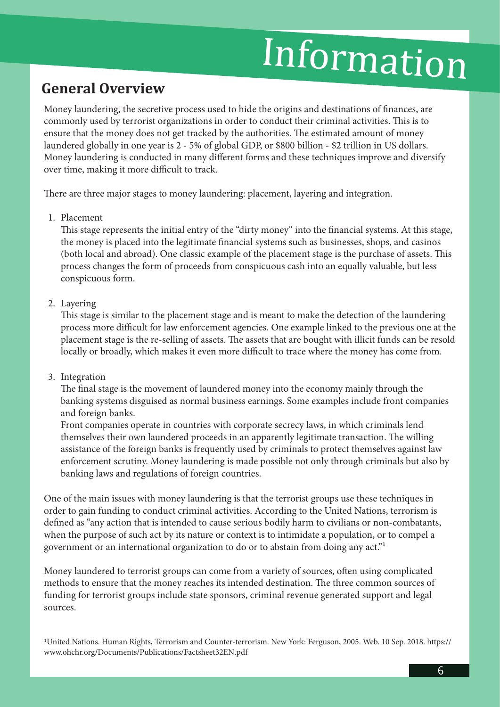## Information

## **General Overview**

Money laundering, the secretive process used to hide the origins and destinations of finances, are commonly used by terrorist organizations in order to conduct their criminal activities. This is to ensure that the money does not get tracked by the authorities. The estimated amount of money laundered globally in one year is 2 - 5% of global GDP, or \$800 billion - \$2 trillion in US dollars. Money laundering is conducted in many different forms and these techniques improve and diversify over time, making it more difficult to track.

There are three major stages to money laundering: placement, layering and integration.

1. Placement

This stage represents the initial entry of the "dirty money" into the financial systems. At this stage, the money is placed into the legitimate financial systems such as businesses, shops, and casinos (both local and abroad). One classic example of the placement stage is the purchase of assets. This process changes the form of proceeds from conspicuous cash into an equally valuable, but less conspicuous form.

#### 2. Layering

This stage is similar to the placement stage and is meant to make the detection of the laundering process more difficult for law enforcement agencies. One example linked to the previous one at the placement stage is the re-selling of assets. The assets that are bought with illicit funds can be resold locally or broadly, which makes it even more difficult to trace where the money has come from.

3. Integration

The final stage is the movement of laundered money into the economy mainly through the banking systems disguised as normal business earnings. Some examples include front companies and foreign banks.

Front companies operate in countries with corporate secrecy laws, in which criminals lend themselves their own laundered proceeds in an apparently legitimate transaction. The willing assistance of the foreign banks is frequently used by criminals to protect themselves against law enforcement scrutiny. Money laundering is made possible not only through criminals but also by banking laws and regulations of foreign countries.

One of the main issues with money laundering is that the terrorist groups use these techniques in order to gain funding to conduct criminal activities. According to the United Nations, terrorism is defined as "any action that is intended to cause serious bodily harm to civilians or non-combatants, when the purpose of such act by its nature or context is to intimidate a population, or to compel a government or an international organization to do or to abstain from doing any act."1

Money laundered to terrorist groups can come from a variety of sources, often using complicated methods to ensure that the money reaches its intended destination. The three common sources of funding for terrorist groups include state sponsors, criminal revenue generated support and legal sources.

1United Nations. Human Rights, Terrorism and Counter-terrorism. New York: Ferguson, 2005. Web. 10 Sep. 2018. https:// www.ohchr.org/Documents/Publications/Factsheet32EN.pdf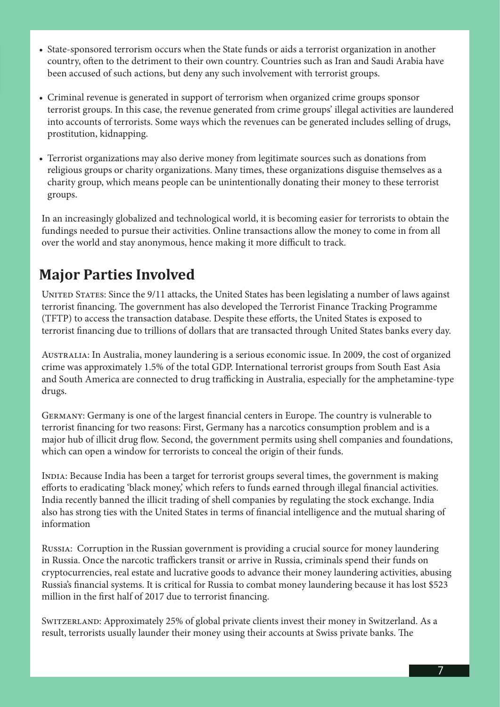- State-sponsored terrorism occurs when the State funds or aids a terrorist organization in another country, often to the detriment to their own country. Countries such as Iran and Saudi Arabia have been accused of such actions, but deny any such involvement with terrorist groups.
- Criminal revenue is generated in support of terrorism when organized crime groups sponsor terrorist groups. In this case, the revenue generated from crime groups' illegal activities are laundered into accounts of terrorists. Some ways which the revenues can be generated includes selling of drugs, prostitution, kidnapping.
- Terrorist organizations may also derive money from legitimate sources such as donations from religious groups or charity organizations. Many times, these organizations disguise themselves as a charity group, which means people can be unintentionally donating their money to these terrorist groups.

In an increasingly globalized and technological world, it is becoming easier for terrorists to obtain the fundings needed to pursue their activities. Online transactions allow the money to come in from all over the world and stay anonymous, hence making it more difficult to track.

## **Major Parties Involved**

UNITED STATES: Since the 9/11 attacks, the United States has been legislating a number of laws against terrorist financing. The government has also developed the Terrorist Finance Tracking Programme (TFTP) to access the transaction database. Despite these efforts, the United States is exposed to terrorist financing due to trillions of dollars that are transacted through United States banks every day.

Australia: In Australia, money laundering is a serious economic issue. In 2009, the cost of organized crime was approximately 1.5% of the total GDP. International terrorist groups from South East Asia and South America are connected to drug trafficking in Australia, especially for the amphetamine-type drugs.

Germany: Germany is one of the largest financial centers in Europe. The country is vulnerable to terrorist financing for two reasons: First, Germany has a narcotics consumption problem and is a major hub of illicit drug flow. Second, the government permits using shell companies and foundations, which can open a window for terrorists to conceal the origin of their funds.

India: Because India has been a target for terrorist groups several times, the government is making efforts to eradicating 'black money,' which refers to funds earned through illegal financial activities. India recently banned the illicit trading of shell companies by regulating the stock exchange. India also has strong ties with the United States in terms of financial intelligence and the mutual sharing of information

Russia: Corruption in the Russian government is providing a crucial source for money laundering in Russia. Once the narcotic traffickers transit or arrive in Russia, criminals spend their funds on cryptocurrencies, real estate and lucrative goods to advance their money laundering activities, abusing Russia's financial systems. It is critical for Russia to combat money laundering because it has lost \$523 million in the first half of 2017 due to terrorist financing.

Switzerland: Approximately 25% of global private clients invest their money in Switzerland. As a result, terrorists usually launder their money using their accounts at Swiss private banks. The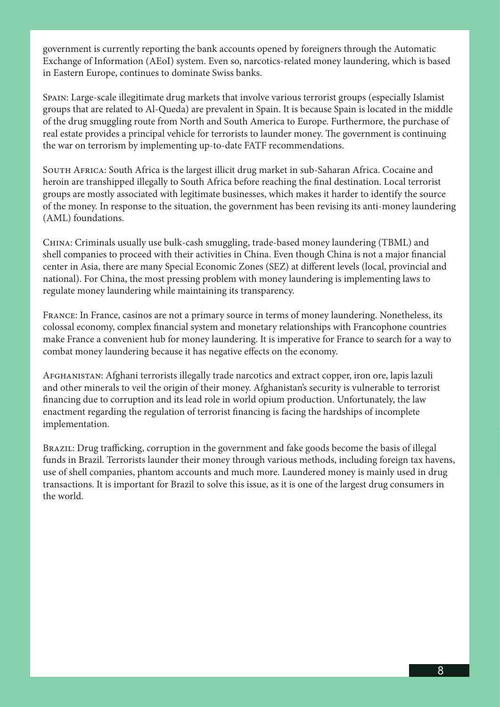government is currently reporting the bank accounts opened by foreigners through the Automatic Exchange of Information (AEoI) system. Even so, narcotics-related money laundering, which is based in Eastern Europe, continues to dominate Swiss banks.

Spain: Large-scale illegitimate drug markets that involve various terrorist groups (especially Islamist groups that are related to Al-Queda) are prevalent in Spain. It is because Spain is located in the middle of the drug smuggling route from North and South America to Europe. Furthermore, the purchase of real estate provides a principal vehicle for terrorists to launder money. The government is continuing the war on terrorism by implementing up-to-date FATF recommendations.

SOUTH AFRICA: South Africa is the largest illicit drug market in sub-Saharan Africa. Cocaine and heroin are transhipped illegally to South Africa before reaching the final destination. Local terrorist groups are mostly associated with legitimate businesses, which makes it harder to identify the source of the money. In response to the situation, the government has been revising its anti-money laundering (AML) foundations.

China: Criminals usually use bulk-cash smuggling, trade-based money laundering (TBML) and shell companies to proceed with their activities in China. Even though China is not a major financial center in Asia, there are many Special Economic Zones (SEZ) at different levels (local, provincial and national). For China, the most pressing problem with money laundering is implementing laws to regulate money laundering while maintaining its transparency.

France: In France, casinos are not a primary source in terms of money laundering. Nonetheless, its colossal economy, complex financial system and monetary relationships with Francophone countries make France a convenient hub for money laundering. It is imperative for France to search for a way to combat money laundering because it has negative effects on the economy.

Afghanistan: Afghani terrorists illegally trade narcotics and extract copper, iron ore, lapis lazuli and other minerals to veil the origin of their money. Afghanistan's security is vulnerable to terrorist financing due to corruption and its lead role in world opium production. Unfortunately, the law enactment regarding the regulation of terrorist financing is facing the hardships of incomplete implementation.

Brazil: Drug trafficking, corruption in the government and fake goods become the basis of illegal funds in Brazil. Terrorists launder their money through various methods, including foreign tax havens, use of shell companies, phantom accounts and much more. Laundered money is mainly used in drug transactions. It is important for Brazil to solve this issue, as it is one of the largest drug consumers in the world.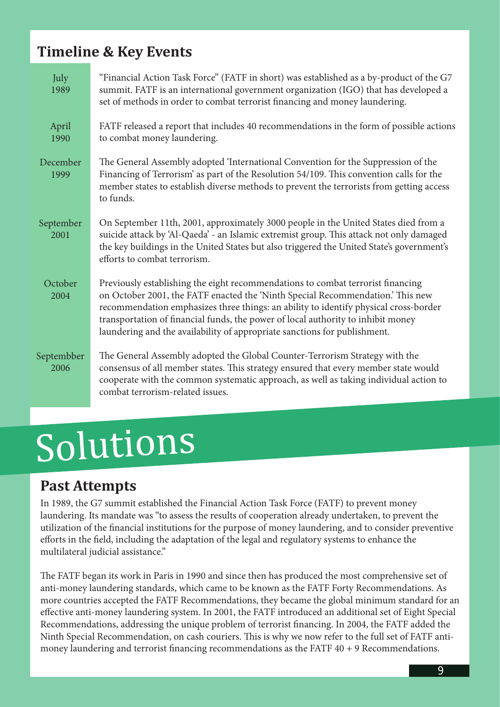## **Timeline & Key Events**

| July<br>1989       | "Financial Action Task Force" (FATF in short) was established as a by-product of the G7<br>summit. FATF is an international government organization (IGO) that has developed a<br>set of methods in order to combat terrorist financing and money laundering.                                                                                                                                                              |
|--------------------|----------------------------------------------------------------------------------------------------------------------------------------------------------------------------------------------------------------------------------------------------------------------------------------------------------------------------------------------------------------------------------------------------------------------------|
| April<br>1990      | FATF released a report that includes 40 recommendations in the form of possible actions<br>to combat money laundering.                                                                                                                                                                                                                                                                                                     |
| December<br>1999   | The General Assembly adopted 'International Convention for the Suppression of the<br>Financing of Terrorism' as part of the Resolution 54/109. This convention calls for the<br>member states to establish diverse methods to prevent the terrorists from getting access<br>to funds.                                                                                                                                      |
| September<br>2001  | On September 11th, 2001, approximately 3000 people in the United States died from a<br>suicide attack by 'Al-Qaeda' - an Islamic extremist group. This attack not only damaged<br>the key buildings in the United States but also triggered the United State's government's<br>efforts to combat terrorism.                                                                                                                |
| October<br>2004    | Previously establishing the eight recommendations to combat terrorist financing<br>on October 2001, the FATF enacted the 'Ninth Special Recommendation.' This new<br>recommendation emphasizes three things: an ability to identify physical cross-border<br>transportation of financial funds, the power of local authority to inhibit money<br>laundering and the availability of appropriate sanctions for publishment. |
| Septembber<br>2006 | The General Assembly adopted the Global Counter-Terrorism Strategy with the<br>consensus of all member states. This strategy ensured that every member state would<br>cooperate with the common systematic approach, as well as taking individual action to<br>combat terrorism-related issues.                                                                                                                            |

## Solutions

## **Past Attempts**

In 1989, the G7 summit established the Financial Action Task Force (FATF) to prevent money laundering. Its mandate was "to assess the results of cooperation already undertaken, to prevent the utilization of the financial institutions for the purpose of money laundering, and to consider preventive efforts in the field, including the adaptation of the legal and regulatory systems to enhance the multilateral judicial assistance."

The FATF began its work in Paris in 1990 and since then has produced the most comprehensive set of anti-money laundering standards, which came to be known as the FATF Forty Recommendations. As more countries accepted the FATF Recommendations, they became the global minimum standard for an effective anti-money laundering system. In 2001, the FATF introduced an additional set of Eight Special Recommendations, addressing the unique problem of terrorist financing. In 2004, the FATF added the Ninth Special Recommendation, on cash couriers. This is why we now refer to the full set of FATF antimoney laundering and terrorist financing recommendations as the FATF 40 + 9 Recommendations.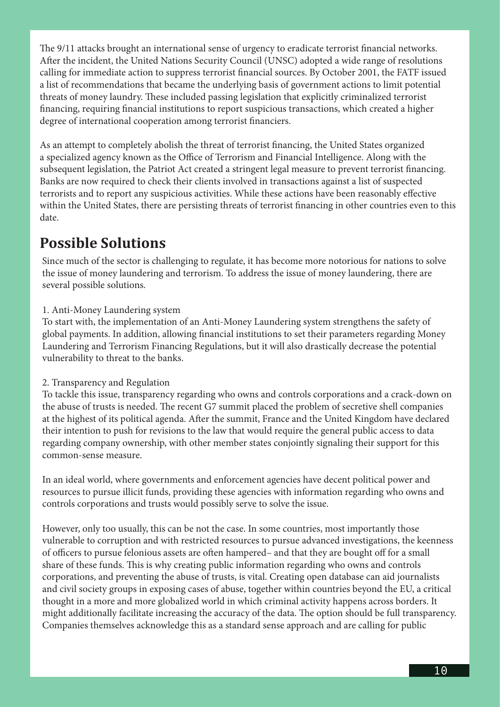The 9/11 attacks brought an international sense of urgency to eradicate terrorist financial networks. After the incident, the United Nations Security Council (UNSC) adopted a wide range of resolutions calling for immediate action to suppress terrorist financial sources. By October 2001, the FATF issued a list of recommendations that became the underlying basis of government actions to limit potential threats of money laundry. These included passing legislation that explicitly criminalized terrorist financing, requiring financial institutions to report suspicious transactions, which created a higher degree of international cooperation among terrorist financiers.

As an attempt to completely abolish the threat of terrorist financing, the United States organized a specialized agency known as the Office of Terrorism and Financial Intelligence. Along with the subsequent legislation, the Patriot Act created a stringent legal measure to prevent terrorist financing. Banks are now required to check their clients involved in transactions against a list of suspected terrorists and to report any suspicious activities. While these actions have been reasonably effective within the United States, there are persisting threats of terrorist financing in other countries even to this date.

## **Possible Solutions**

Since much of the sector is challenging to regulate, it has become more notorious for nations to solve the issue of money laundering and terrorism. To address the issue of money laundering, there are several possible solutions.

#### 1. Anti-Money Laundering system

To start with, the implementation of an Anti-Money Laundering system strengthens the safety of global payments. In addition, allowing financial institutions to set their parameters regarding Money Laundering and Terrorism Financing Regulations, but it will also drastically decrease the potential vulnerability to threat to the banks.

#### 2. Transparency and Regulation

To tackle this issue, transparency regarding who owns and controls corporations and a crack-down on the abuse of trusts is needed. The recent G7 summit placed the problem of secretive shell companies at the highest of its political agenda. After the summit, France and the United Kingdom have declared their intention to push for revisions to the law that would require the general public access to data regarding company ownership, with other member states conjointly signaling their support for this common-sense measure.

In an ideal world, where governments and enforcement agencies have decent political power and resources to pursue illicit funds, providing these agencies with information regarding who owns and controls corporations and trusts would possibly serve to solve the issue.

However, only too usually, this can be not the case. In some countries, most importantly those vulnerable to corruption and with restricted resources to pursue advanced investigations, the keenness of officers to pursue felonious assets are often hampered– and that they are bought off for a small share of these funds. This is why creating public information regarding who owns and controls corporations, and preventing the abuse of trusts, is vital. Creating open database can aid journalists and civil society groups in exposing cases of abuse, together within countries beyond the EU, a critical thought in a more and more globalized world in which criminal activity happens across borders. It might additionally facilitate increasing the accuracy of the data. The option should be full transparency. Companies themselves acknowledge this as a standard sense approach and are calling for public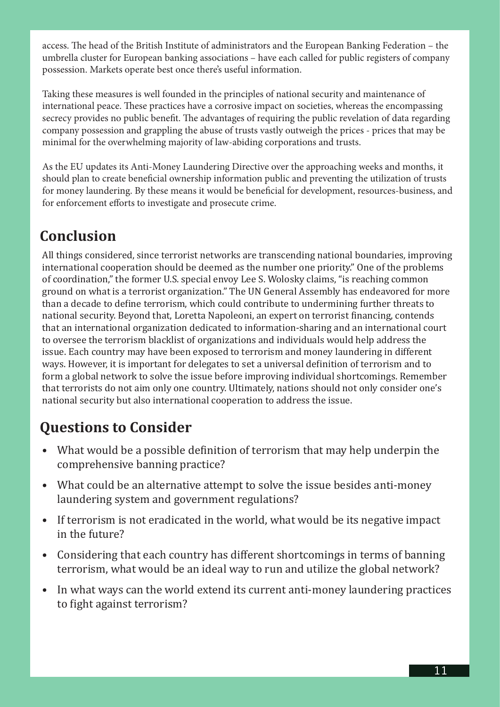access. The head of the British Institute of administrators and the European Banking Federation – the umbrella cluster for European banking associations – have each called for public registers of company possession. Markets operate best once there's useful information.

Taking these measures is well founded in the principles of national security and maintenance of international peace. These practices have a corrosive impact on societies, whereas the encompassing secrecy provides no public benefit. The advantages of requiring the public revelation of data regarding company possession and grappling the abuse of trusts vastly outweigh the prices - prices that may be minimal for the overwhelming majority of law-abiding corporations and trusts.

As the EU updates its Anti-Money Laundering Directive over the approaching weeks and months, it should plan to create beneficial ownership information public and preventing the utilization of trusts for money laundering. By these means it would be beneficial for development, resources-business, and for enforcement efforts to investigate and prosecute crime.

## **Conclusion**

All things considered, since terrorist networks are transcending national boundaries, improving international cooperation should be deemed as the number one priority." One of the problems of coordination," the former U.S. special envoy Lee S. Wolosky claims, "is reaching common ground on what is a terrorist organization." The UN General Assembly has endeavored for more than a decade to define terrorism, which could contribute to undermining further threats to national security. Beyond that, Loretta Napoleoni, an expert on terrorist financing, contends that an international organization dedicated to information-sharing and an international court to oversee the terrorism blacklist of organizations and individuals would help address the issue. Each country may have been exposed to terrorism and money laundering in different ways. However, it is important for delegates to set a universal definition of terrorism and to form a global network to solve the issue before improving individual shortcomings. Remember that terrorists do not aim only one country. Ultimately, nations should not only consider one's national security but also international cooperation to address the issue.

## **Questions to Consider**

- What would be a possible definition of terrorism that may help underpin the comprehensive banning practice?
- What could be an alternative attempt to solve the issue besides anti-money laundering system and government regulations?
- If terrorism is not eradicated in the world, what would be its negative impact in the future?
- Considering that each country has different shortcomings in terms of banning terrorism, what would be an ideal way to run and utilize the global network?
- In what ways can the world extend its current anti-money laundering practices to fight against terrorism?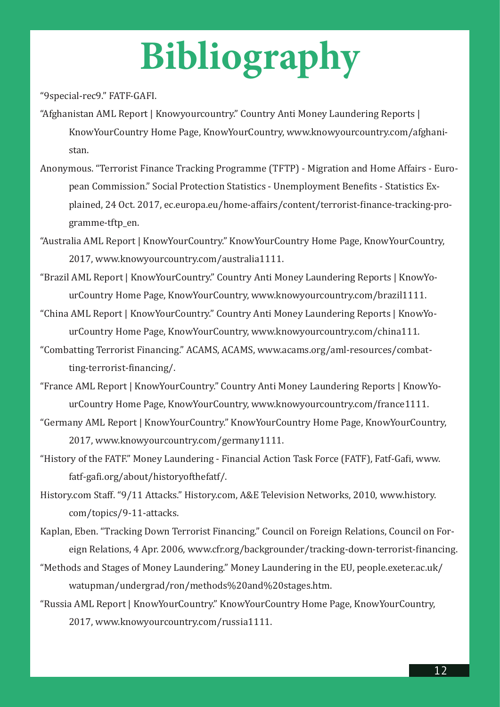## **Bibliography**

"9special-rec9." FATF-GAFI.

- "Afghanistan AML Report | Knowyourcountry." Country Anti Money Laundering Reports | KnowYourCountry Home Page, KnowYourCountry, www.knowyourcountry.com/afghanistan.
- Anonymous. "Terrorist Finance Tracking Programme (TFTP) Migration and Home Affairs European Commission." Social Protection Statistics - Unemployment Benefits - Statistics Explained, 24 Oct. 2017, ec.europa.eu/home-affairs/content/terrorist-finance-tracking-programme-tftp\_en.

"Australia AML Report | KnowYourCountry." KnowYourCountry Home Page, KnowYourCountry, 2017, www.knowyourcountry.com/australia1111.

- "Brazil AML Report | KnowYourCountry." Country Anti Money Laundering Reports | KnowYourCountry Home Page, KnowYourCountry, www.knowyourcountry.com/brazil1111.
- "China AML Report | KnowYourCountry." Country Anti Money Laundering Reports | KnowYourCountry Home Page, KnowYourCountry, www.knowyourcountry.com/china111.
- "Combatting Terrorist Financing." ACAMS, ACAMS, www.acams.org/aml-resources/combatting-terrorist-financing/.
- "France AML Report | KnowYourCountry." Country Anti Money Laundering Reports | KnowYourCountry Home Page, KnowYourCountry, www.knowyourcountry.com/france1111.
- "Germany AML Report | KnowYourCountry." KnowYourCountry Home Page, KnowYourCountry, 2017, www.knowyourcountry.com/germany1111.
- "History of the FATF." Money Laundering Financial Action Task Force (FATF), Fatf-Gafi, www. fatf-gafi.org/about/historyofthefatf/.
- History.com Staff. "9/11 Attacks." History.com, A&E Television Networks, 2010, www.history. com/topics/9-11-attacks.
- Kaplan, Eben. "Tracking Down Terrorist Financing." Council on Foreign Relations, Council on Foreign Relations, 4 Apr. 2006, www.cfr.org/backgrounder/tracking-down-terrorist-financing.
- "Methods and Stages of Money Laundering." Money Laundering in the EU, people.exeter.ac.uk/ watupman/undergrad/ron/methods%20and%20stages.htm.
- "Russia AML Report | KnowYourCountry." KnowYourCountry Home Page, KnowYourCountry, 2017, www.knowyourcountry.com/russia1111.